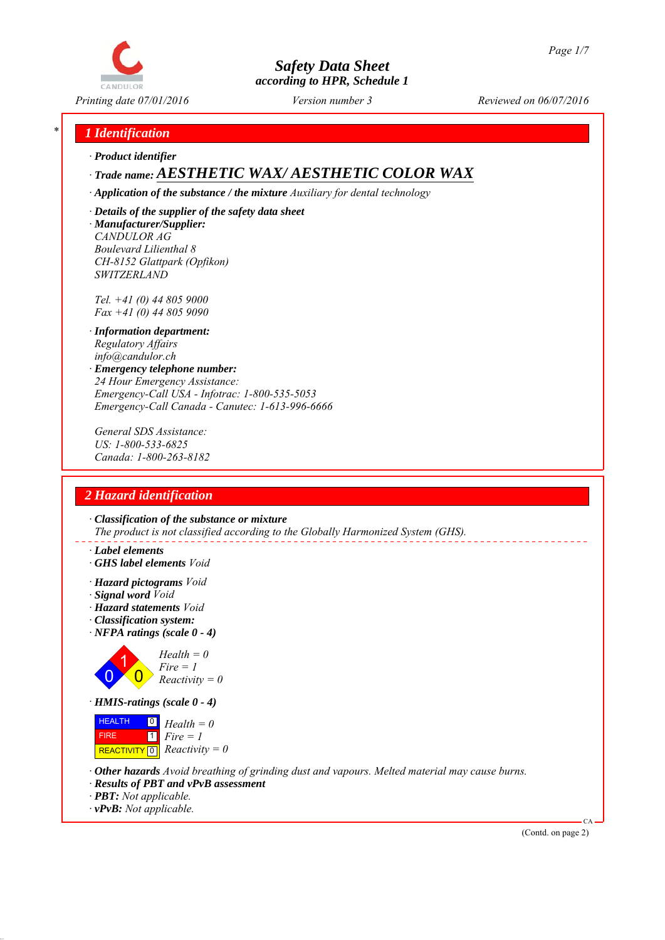

*Printing date 07/01/2016 Reviewed on 06/07/2016 Version number 3*

### *\* 1 Identification*

*∙ Product identifier*

## *∙ Trade name: AESTHETIC WAX/ AESTHETIC COLOR WAX*

*∙ Application of the substance / the mixture Auxiliary for dental technology*

*∙ Details of the supplier of the safety data sheet ∙ Manufacturer/Supplier: CANDULOR AG Boulevard Lilienthal 8 CH-8152 Glattpark (Opfikon) SWITZERLAND*

*Tel. +41 (0) 44 805 9000 Fax +41 (0) 44 805 9090*

- *∙ Information department: Regulatory Affairs info@candulor.ch*
- *∙ Emergency telephone number: 24 Hour Emergency Assistance: Emergency-Call USA - Infotrac: 1-800-535-5053 Emergency-Call Canada - Canutec: 1-613-996-6666*

*General SDS Assistance: US: 1-800-533-6825 Canada: 1-800-263-8182*

### *2 Hazard identification*

*∙ Classification of the substance or mixture The product is not classified according to the Globally Harmonized System (GHS).*

- *∙ Label elements*
- *∙ GHS label elements Void*
- *∙ Hazard pictograms Void*
- *∙ Signal word Void*
- *∙ Hazard statements Void*
- *∙ Classification system:*
- *∙ NFPA ratings (scale 0 4)*



*∙ HMIS-ratings (scale 0 - 4)*



- *∙ Other hazards Avoid breathing of grinding dust and vapours. Melted material may cause burns.*
- *∙ Results of PBT and vPvB assessment*
- *∙ PBT: Not applicable.*
- *∙ vPvB: Not applicable.*

(Contd. on page 2)

CA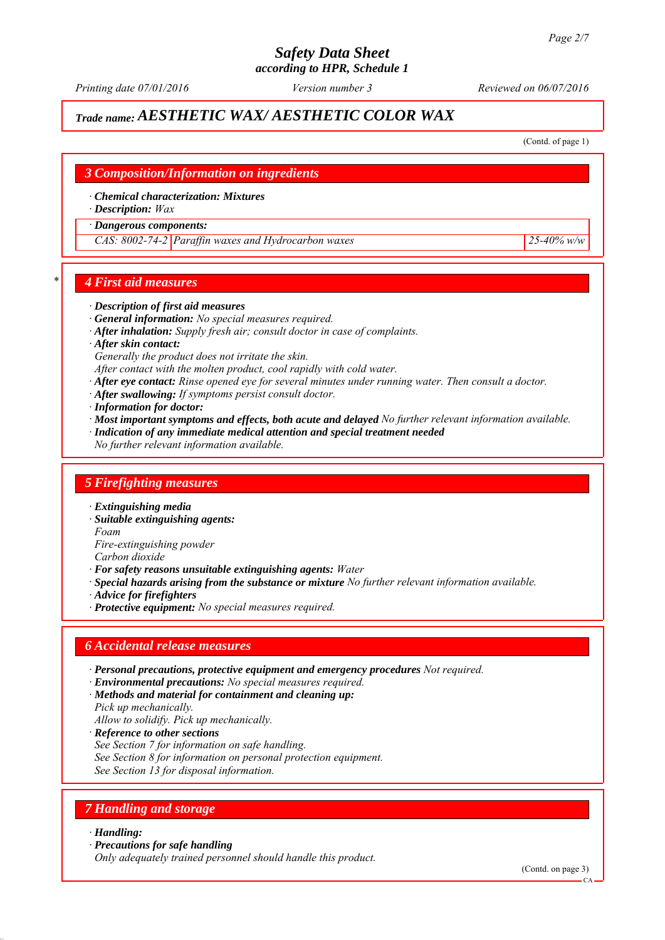*Printing date 07/01/2016 Reviewed on 06/07/2016 Version number 3*

## *Trade name: AESTHETIC WAX/ AESTHETIC COLOR WAX*

(Contd. of page 1)

# *3 Composition/Information on ingredients ∙ Chemical characterization: Mixtures ∙ Description: Wax ∙ Dangerous components: CAS: 8002-74-2 Paraffin waxes and Hydrocarbon waxes 25-40% w/w*

#### *\* 4 First aid measures*

#### *∙ Description of first aid measures*

- *∙ General information: No special measures required.*
- *∙ After inhalation: Supply fresh air; consult doctor in case of complaints.*
- *∙ After skin contact:*

*Generally the product does not irritate the skin.*

- *After contact with the molten product, cool rapidly with cold water.*
- *∙ After eye contact: Rinse opened eye for several minutes under running water. Then consult a doctor.*
- *∙ After swallowing: If symptoms persist consult doctor.*
- *∙ Information for doctor:*
- *∙ Most important symptoms and effects, both acute and delayed No further relevant information available.*
- *∙ Indication of any immediate medical attention and special treatment needed*
- *No further relevant information available.*

#### *5 Firefighting measures*

- *∙ Extinguishing media*
- *∙ Suitable extinguishing agents:*
- *Foam*

*Fire-extinguishing powder*

- *Carbon dioxide*
- *∙ For safety reasons unsuitable extinguishing agents: Water*
- *∙ Special hazards arising from the substance or mixture No further relevant information available.*
- *∙ Advice for firefighters*
- *∙ Protective equipment: No special measures required.*

#### *6 Accidental release measures*

- *∙ Personal precautions, protective equipment and emergency procedures Not required.*
- *∙ Environmental precautions: No special measures required.*
- *∙ Methods and material for containment and cleaning up:*
- *Pick up mechanically.*
- *Allow to solidify. Pick up mechanically.*
- *∙ Reference to other sections*
- *See Section 7 for information on safe handling.*
- *See Section 8 for information on personal protection equipment.*
- *See Section 13 for disposal information.*

### *7 Handling and storage*

#### *∙ Handling:*

*∙ Precautions for safe handling*

*Only adequately trained personnel should handle this product.*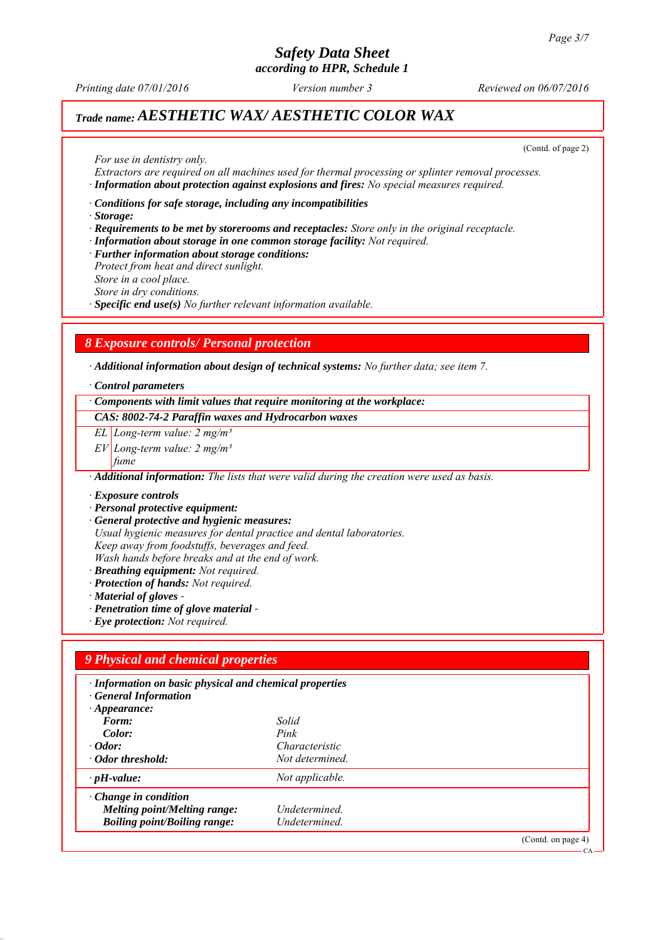## *Safety Data Sheet*

*according to HPR, Schedule 1*

*Printing date 07/01/2016 Reviewed on 06/07/2016 Version number 3*

## *Trade name: AESTHETIC WAX/ AESTHETIC COLOR WAX*

(Contd. of page 2)

CA

*For use in dentistry only.*

*Extractors are required on all machines used for thermal processing or splinter removal processes. ∙ Information about protection against explosions and fires: No special measures required.*

*∙ Conditions for safe storage, including any incompatibilities*

*∙ Storage:*

- *∙ Requirements to be met by storerooms and receptacles: Store only in the original receptacle.*
- *∙ Information about storage in one common storage facility: Not required.*

*∙ Further information about storage conditions:*

*Protect from heat and direct sunlight.*

*Store in a cool place.*

*Store in dry conditions.*

*∙ Specific end use(s) No further relevant information available.*

### *8 Exposure controls/ Personal protection*

*∙ Additional information about design of technical systems: No further data; see item 7.*

#### *∙ Control parameters*

*∙ Components with limit values that require monitoring at the workplace:*

*CAS: 8002-74-2 Paraffin waxes and Hydrocarbon waxes*

- *EL Long-term value: 2 mg/m³*
- *EV Long-term value: 2 mg/m³*
- *fume*

*∙ Additional information: The lists that were valid during the creation were used as basis.*

*∙ Exposure controls*

- *∙ Personal protective equipment:*
- *∙ General protective and hygienic measures:*
- *Usual hygienic measures for dental practice and dental laboratories.*

*Keep away from foodstuffs, beverages and feed.*

*Wash hands before breaks and at the end of work.*

- *∙ Breathing equipment: Not required.*
- *∙ Protection of hands: Not required.*
- *∙ Material of gloves*
- *∙ Penetration time of glove material*
- *∙ Eye protection: Not required.*

#### *9 Physical and chemical properties*

| · Information on basic physical and chemical properties<br><b>General Information</b> |                 |                   |
|---------------------------------------------------------------------------------------|-----------------|-------------------|
| $\cdot$ Appearance:                                                                   |                 |                   |
| Form:                                                                                 | Solid           |                   |
| Color:                                                                                | Pink            |                   |
| $\cdot$ <i>Odor</i> :                                                                 | Characteristic  |                   |
| · Odor threshold:                                                                     | Not determined. |                   |
| $\cdot$ pH-value:                                                                     | Not applicable. |                   |
| $\cdot$ Change in condition                                                           |                 |                   |
| <b>Melting point/Melting range:</b>                                                   | Undetermined.   |                   |
| <b>Boiling point/Boiling range:</b>                                                   | Undetermined.   |                   |
|                                                                                       |                 | (Cond. on page 4) |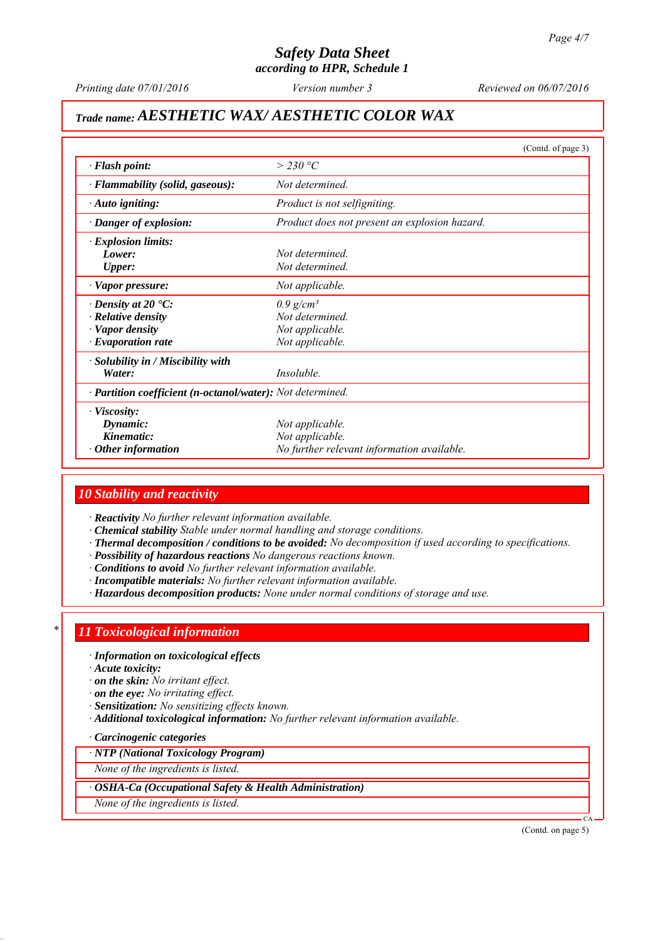## *Safety Data Sheet*

*according to HPR, Schedule 1*

*Printing date 07/01/2016 Reviewed on 06/07/2016 Version number 3*

## *Trade name: AESTHETIC WAX/ AESTHETIC COLOR WAX*

|                                                            |                                               | (Contd. of page 3) |
|------------------------------------------------------------|-----------------------------------------------|--------------------|
| $\cdot$ Flash point:                                       | $>$ 230 °C                                    |                    |
| · Flammability (solid, gaseous):                           | Not determined                                |                    |
| $\cdot$ Auto igniting:                                     | Product is not selfigniting.                  |                    |
| · Danger of explosion:                                     | Product does not present an explosion hazard. |                    |
| $\cdot$ Explosion limits:                                  |                                               |                    |
| Lower:                                                     | Not determined                                |                    |
| <b>Upper:</b>                                              | Not determined                                |                    |
| · Vapor pressure:                                          | Not applicable.                               |                    |
| $\cdot$ Density at 20 $\cdot$ C:                           | $0.9$ g/cm <sup>3</sup>                       |                    |
| $\cdot$ Relative density                                   | Not determined.                               |                    |
| · Vapor density                                            | Not applicable.                               |                    |
| $\cdot$ Evaporation rate                                   | Not applicable.                               |                    |
| · Solubility in / Miscibility with                         |                                               |                    |
| Water:                                                     | <i>Insoluble.</i>                             |                    |
| · Partition coefficient (n-octanol/water): Not determined. |                                               |                    |
| · Viscosity:                                               |                                               |                    |
| Dynamic:                                                   | Not applicable.                               |                    |
| Kinematic:                                                 | Not applicable.                               |                    |
| Other information                                          | No further relevant information available.    |                    |

#### *10 Stability and reactivity*

*∙ Reactivity No further relevant information available.*

- *∙ Chemical stability Stable under normal handling and storage conditions.*
- *∙ Thermal decomposition / conditions to be avoided: No decomposition if used according to specifications.*
- *∙ Possibility of hazardous reactions No dangerous reactions known.*
- *∙ Conditions to avoid No further relevant information available.*
- *∙ Incompatible materials: No further relevant information available.*
- *∙ Hazardous decomposition products: None under normal conditions of storage and use.*

#### *\* 11 Toxicological information*

*∙ Information on toxicological effects*

*∙ Acute toxicity:*

*∙ on the skin: No irritant effect.*

*∙ on the eye: No irritating effect.*

- *∙ Sensitization: No sensitizing effects known.*
- *∙ Additional toxicological information: No further relevant information available.*
- *∙ Carcinogenic categories*

#### *∙ NTP (National Toxicology Program)*

*None of the ingredients is listed.*

*∙ OSHA-Ca (Occupational Safety & Health Administration)*

*None of the ingredients is listed.*

(Contd. on page 5)

CA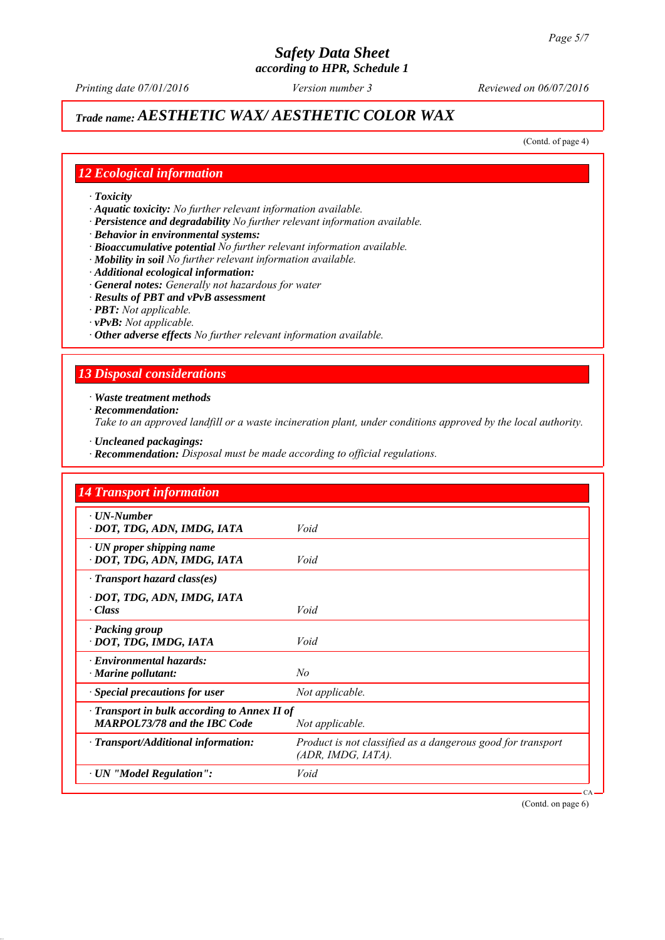*Printing date 07/01/2016 Reviewed on 06/07/2016 Version number 3*

## *Trade name: AESTHETIC WAX/ AESTHETIC COLOR WAX*

(Contd. of page 4)

#### *12 Ecological information*

- *∙ Toxicity*
- *∙ Aquatic toxicity: No further relevant information available.*
- *∙ Persistence and degradability No further relevant information available.*
- *∙ Behavior in environmental systems:*
- *∙ Bioaccumulative potential No further relevant information available.*
- *∙ Mobility in soil No further relevant information available.*
- *∙ Additional ecological information:*
- *∙ General notes: Generally not hazardous for water*
- *∙ Results of PBT and vPvB assessment*
- *∙ PBT: Not applicable.*
- *∙ vPvB: Not applicable.*
- *∙ Other adverse effects No further relevant information available.*

### *13 Disposal considerations*

*∙ Waste treatment methods*

*∙ Recommendation:*

*Take to an approved landfill or a waste incineration plant, under conditions approved by the local authority.*

- *∙ Uncleaned packagings:*
- *∙ Recommendation: Disposal must be made according to official regulations.*

| <b>14 Transport information</b>                                                           |                                                                                   |  |
|-------------------------------------------------------------------------------------------|-----------------------------------------------------------------------------------|--|
| $\cdot$ UN-Number<br>· DOT, TDG, ADN, IMDG, IATA                                          | Void                                                                              |  |
| $\cdot$ UN proper shipping name<br>· DOT, TDG, ADN, IMDG, IATA                            | Void                                                                              |  |
| $\cdot$ Transport hazard class(es)                                                        |                                                                                   |  |
| · DOT, TDG, ADN, IMDG, IATA<br>$\cdot Class$                                              | Void                                                                              |  |
| · Packing group<br>· DOT, TDG, IMDG, IATA                                                 | Void                                                                              |  |
| $\cdot$ Environmental hazards:<br>$\cdot$ Marine pollutant:                               | No                                                                                |  |
| · Special precautions for user                                                            | Not applicable.                                                                   |  |
| $\cdot$ Transport in bulk according to Annex II of<br><b>MARPOL73/78 and the IBC Code</b> | Not applicable.                                                                   |  |
| · Transport/Additional information:                                                       | Product is not classified as a dangerous good for transport<br>(ADR, IMDG, IATA). |  |
| · UN "Model Regulation":                                                                  | Void                                                                              |  |

(Contd. on page 6)

CA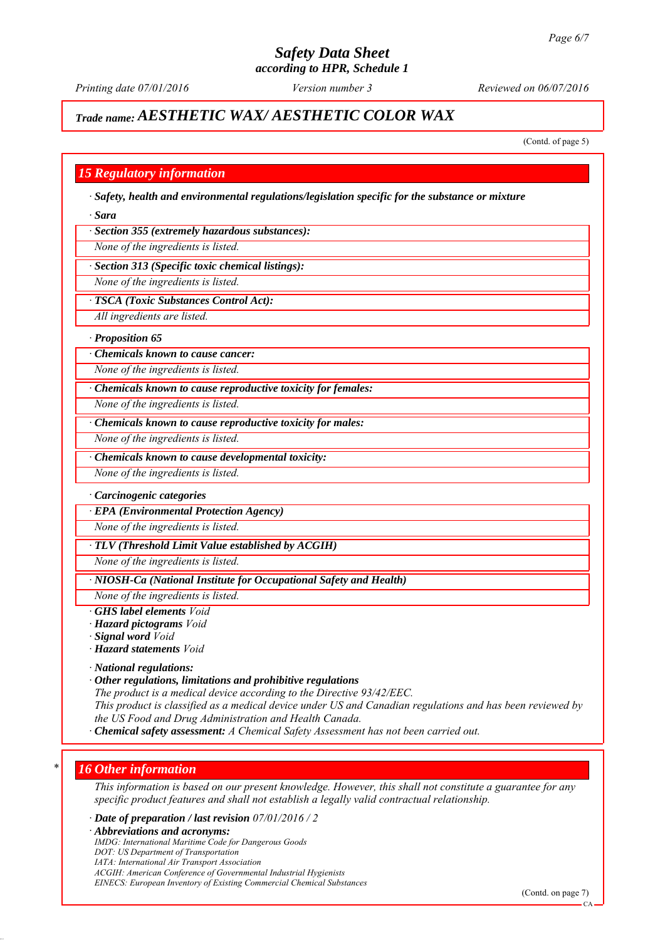*Printing date 07/01/2016 Reviewed on 06/07/2016 Version number 3*

## *Trade name: AESTHETIC WAX/ AESTHETIC COLOR WAX*

(Contd. of page 5)

#### *15 Regulatory information*

*∙ Safety, health and environmental regulations/legislation specific for the substance or mixture*

*∙ Sara*

*∙ Section 355 (extremely hazardous substances):*

*None of the ingredients is listed.*

*∙ Section 313 (Specific toxic chemical listings):*

*None of the ingredients is listed.*

*∙ TSCA (Toxic Substances Control Act):*

*All ingredients are listed.*

#### *∙ Proposition 65*

*∙ Chemicals known to cause cancer:*

*None of the ingredients is listed.*

*∙ Chemicals known to cause reproductive toxicity for females:*

*None of the ingredients is listed.*

*∙ Chemicals known to cause reproductive toxicity for males:*

*None of the ingredients is listed.*

*∙ Chemicals known to cause developmental toxicity:*

*None of the ingredients is listed.*

#### *∙ Carcinogenic categories*

*∙ EPA (Environmental Protection Agency)*

*None of the ingredients is listed.*

#### *∙ TLV (Threshold Limit Value established by ACGIH)*

*None of the ingredients is listed.*

*∙ NIOSH-Ca (National Institute for Occupational Safety and Health)*

*None of the ingredients is listed.*

- *∙ GHS label elements Void*
- *∙ Hazard pictograms Void*
- *∙ Signal word Void*
- *∙ Hazard statements Void*
- *∙ National regulations:*
- *∙ Other regulations, limitations and prohibitive regulations*

*The product is a medical device according to the Directive 93/42/EEC.*

*This product is classified as a medical device under US and Canadian regulations and has been reviewed by the US Food and Drug Administration and Health Canada.*

*∙ Chemical safety assessment: A Chemical Safety Assessment has not been carried out.*

#### *\* 16 Other information*

*This information is based on our present knowledge. However, this shall not constitute a guarantee for any specific product features and shall not establish a legally valid contractual relationship.*

*∙ Date of preparation / last revision 07/01/2016 / 2*

*∙ Abbreviations and acronyms:*

*IMDG: International Maritime Code for Dangerous Goods*

- *DOT: US Department of Transportation*
- *IATA: International Air Transport Association*

*ACGIH: American Conference of Governmental Industrial Hygienists*

*EINECS: European Inventory of Existing Commercial Chemical Substances*

 $\mathcal{C}$ <sup> $\Delta$ </sup>